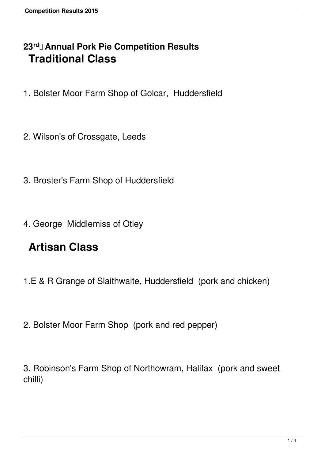## **23rd Annual Pork Pie Competition Results Traditional Class**

- 1. Bolster Moor Farm Shop of Golcar, Huddersfield
- 2. Wilson's of Crossgate, Leeds
- 3. Broster's Farm Shop of Huddersfield
- 4. George Middlemiss of Otley

## **Artisan Class**

- 1.E & R Grange of Slaithwaite, Huddersfield (pork and chicken)
- 2. Bolster Moor Farm Shop (pork and red pepper)

3. Robinson's Farm Shop of Northowram, Halifax (pork and sweet chilli)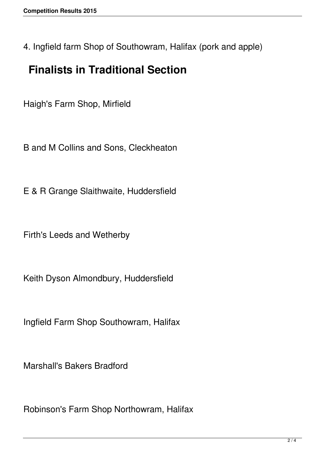4. Ingfield farm Shop of Southowram, Halifax (pork and apple)

## **Finalists in Traditional Section**

Haigh's Farm Shop, Mirfield

B and M Collins and Sons, Cleckheaton

E & R Grange Slaithwaite, Huddersfield

Firth's Leeds and Wetherby

Keith Dyson Almondbury, Huddersfield

Ingfield Farm Shop Southowram, Halifax

Marshall's Bakers Bradford

Robinson's Farm Shop Northowram, Halifax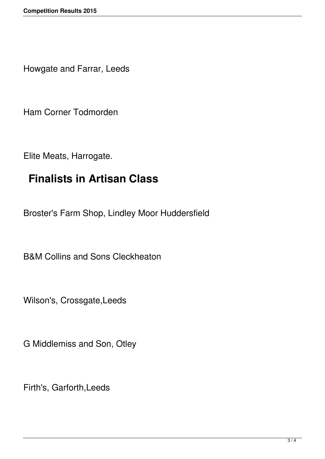Howgate and Farrar, Leeds

Ham Corner Todmorden

Elite Meats, Harrogate.

## **Finalists in Artisan Class**

Broster's Farm Shop, Lindley Moor Huddersfield

B&M Collins and Sons Cleckheaton

Wilson's, Crossgate,Leeds

G Middlemiss and Son, Otley

Firth's, Garforth,Leeds